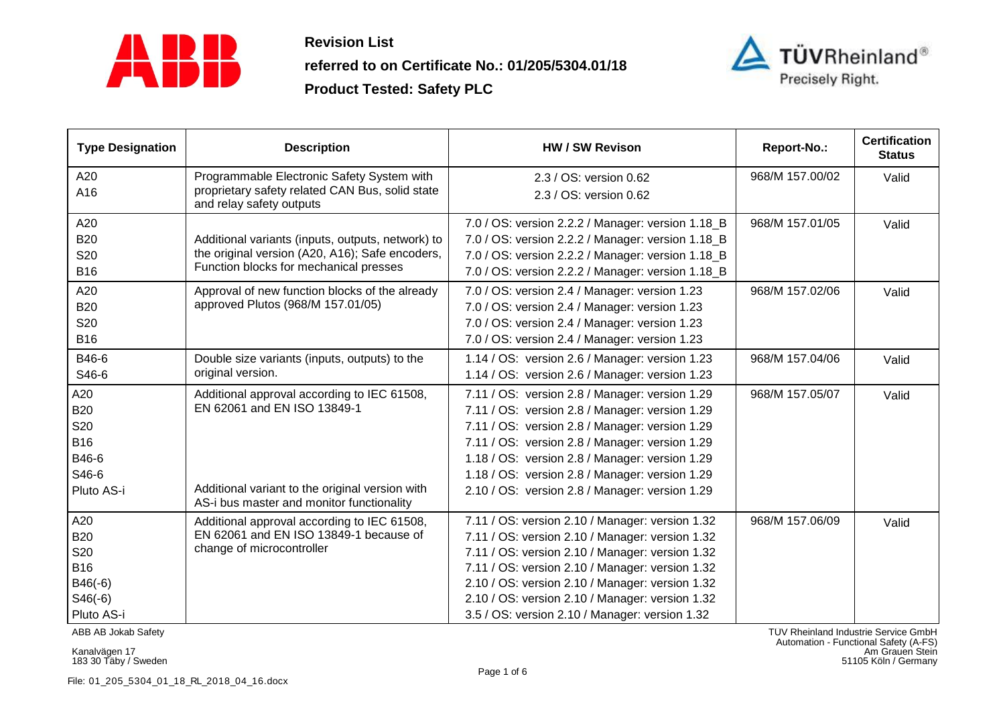

**referred to on Certificate No.: 01/205/5304.01/18**



| <b>Type Designation</b> | <b>Description</b>                                                                                                        | <b>HW / SW Revison</b>                            | Report-No.:     | <b>Certification</b><br><b>Status</b> |
|-------------------------|---------------------------------------------------------------------------------------------------------------------------|---------------------------------------------------|-----------------|---------------------------------------|
| A20                     | Programmable Electronic Safety System with<br>proprietary safety related CAN Bus, solid state<br>and relay safety outputs | 2.3 / OS: version 0.62                            | 968/M 157.00/02 | Valid                                 |
| A16                     |                                                                                                                           | 2.3 / OS: version 0.62                            |                 |                                       |
| A20                     |                                                                                                                           | 7.0 / OS: version 2.2.2 / Manager: version 1.18_B | 968/M 157.01/05 | Valid                                 |
| <b>B20</b>              | Additional variants (inputs, outputs, network) to                                                                         | 7.0 / OS: version 2.2.2 / Manager: version 1.18_B |                 |                                       |
| <b>S20</b>              | the original version (A20, A16); Safe encoders,                                                                           | 7.0 / OS: version 2.2.2 / Manager: version 1.18_B |                 |                                       |
| <b>B16</b>              | Function blocks for mechanical presses                                                                                    | 7.0 / OS: version 2.2.2 / Manager: version 1.18_B |                 |                                       |
| A20                     | Approval of new function blocks of the already                                                                            | 7.0 / OS: version 2.4 / Manager: version 1.23     | 968/M 157.02/06 | Valid                                 |
| <b>B20</b>              | approved Plutos (968/M 157.01/05)                                                                                         | 7.0 / OS: version 2.4 / Manager: version 1.23     |                 |                                       |
| <b>S20</b>              |                                                                                                                           | 7.0 / OS: version 2.4 / Manager: version 1.23     |                 |                                       |
| <b>B16</b>              |                                                                                                                           | 7.0 / OS: version 2.4 / Manager: version 1.23     |                 |                                       |
| B46-6                   | Double size variants (inputs, outputs) to the                                                                             | 1.14 / OS: version 2.6 / Manager: version 1.23    | 968/M 157.04/06 | Valid                                 |
| S46-6                   | original version.                                                                                                         | 1.14 / OS: version 2.6 / Manager: version 1.23    |                 |                                       |
| A20                     | Additional approval according to IEC 61508,                                                                               | 7.11 / OS: version 2.8 / Manager: version 1.29    | 968/M 157.05/07 | Valid                                 |
| <b>B20</b>              | EN 62061 and EN ISO 13849-1                                                                                               | 7.11 / OS: version 2.8 / Manager: version 1.29    |                 |                                       |
| S20                     |                                                                                                                           | 7.11 / OS: version 2.8 / Manager: version 1.29    |                 |                                       |
| <b>B16</b>              |                                                                                                                           | 7.11 / OS: version 2.8 / Manager: version 1.29    |                 |                                       |
| B46-6                   |                                                                                                                           | 1.18 / OS: version 2.8 / Manager: version 1.29    |                 |                                       |
| S46-6                   |                                                                                                                           | 1.18 / OS: version 2.8 / Manager: version 1.29    |                 |                                       |
| Pluto AS-i              | Additional variant to the original version with<br>AS-i bus master and monitor functionality                              | 2.10 / OS: version 2.8 / Manager: version 1.29    |                 |                                       |
| A20                     | Additional approval according to IEC 61508,                                                                               | 7.11 / OS: version 2.10 / Manager: version 1.32   | 968/M 157.06/09 | Valid                                 |
| <b>B20</b>              | EN 62061 and EN ISO 13849-1 because of                                                                                    | 7.11 / OS: version 2.10 / Manager: version 1.32   |                 |                                       |
| S20                     | change of microcontroller                                                                                                 | 7.11 / OS: version 2.10 / Manager: version 1.32   |                 |                                       |
| <b>B16</b>              |                                                                                                                           | 7.11 / OS: version 2.10 / Manager: version 1.32   |                 |                                       |
| $B46(-6)$               |                                                                                                                           | 2.10 / OS: version 2.10 / Manager: version 1.32   |                 |                                       |
| $S46(-6)$               |                                                                                                                           | 2.10 / OS: version 2.10 / Manager: version 1.32   |                 |                                       |
| Pluto AS-i              |                                                                                                                           | 3.5 / OS: version 2.10 / Manager: version 1.32    |                 |                                       |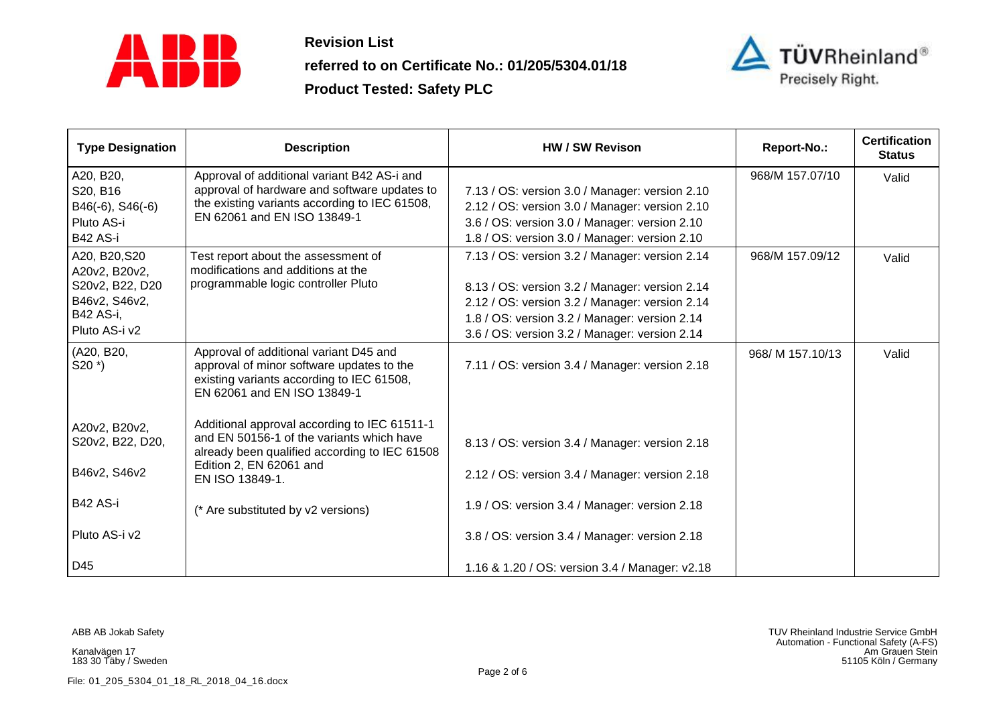

**referred to on Certificate No.: 01/205/5304.01/18**



| <b>Type Designation</b>            | <b>Description</b>                                                                                                                                              | HW / SW Revison                                | Report-No.:      | <b>Certification</b><br><b>Status</b> |
|------------------------------------|-----------------------------------------------------------------------------------------------------------------------------------------------------------------|------------------------------------------------|------------------|---------------------------------------|
| A20, B20,                          | Approval of additional variant B42 AS-i and                                                                                                                     |                                                | 968/M 157.07/10  | Valid                                 |
| S20, B16                           | approval of hardware and software updates to                                                                                                                    | 7.13 / OS: version 3.0 / Manager: version 2.10 |                  |                                       |
| B46(-6), S46(-6)                   | the existing variants according to IEC 61508,                                                                                                                   | 2.12 / OS: version 3.0 / Manager: version 2.10 |                  |                                       |
| Pluto AS-i                         | EN 62061 and EN ISO 13849-1                                                                                                                                     | 3.6 / OS: version 3.0 / Manager: version 2.10  |                  |                                       |
| B42 AS-i                           |                                                                                                                                                                 | 1.8 / OS: version 3.0 / Manager: version 2.10  |                  |                                       |
| A20, B20, S20<br>A20v2, B20v2,     | Test report about the assessment of<br>modifications and additions at the                                                                                       | 7.13 / OS: version 3.2 / Manager: version 2.14 | 968/M 157.09/12  | Valid                                 |
| S20v2, B22, D20                    | programmable logic controller Pluto                                                                                                                             | 8.13 / OS: version 3.2 / Manager: version 2.14 |                  |                                       |
| B46v2, S46v2,                      |                                                                                                                                                                 | 2.12 / OS: version 3.2 / Manager: version 2.14 |                  |                                       |
| B42 AS-i,                          |                                                                                                                                                                 | 1.8 / OS: version 3.2 / Manager: version 2.14  |                  |                                       |
| Pluto AS-i v2                      |                                                                                                                                                                 | 3.6 / OS: version 3.2 / Manager: version 2.14  |                  |                                       |
| (A20, B20,<br>$S20$ <sup>*</sup> ) | Approval of additional variant D45 and<br>approval of minor software updates to the<br>existing variants according to IEC 61508,<br>EN 62061 and EN ISO 13849-1 | 7.11 / OS: version 3.4 / Manager: version 2.18 | 968/ M 157.10/13 | Valid                                 |
| A20v2, B20v2,                      | Additional approval according to IEC 61511-1                                                                                                                    |                                                |                  |                                       |
| S20v2, B22, D20,                   | and EN 50156-1 of the variants which have<br>already been qualified according to IEC 61508                                                                      | 8.13 / OS: version 3.4 / Manager: version 2.18 |                  |                                       |
| B46v2, S46v2                       | Edition 2, EN 62061 and<br>EN ISO 13849-1.                                                                                                                      | 2.12 / OS: version 3.4 / Manager: version 2.18 |                  |                                       |
| <b>B42 AS-i</b>                    | (* Are substituted by v2 versions)                                                                                                                              | 1.9 / OS: version 3.4 / Manager: version 2.18  |                  |                                       |
| Pluto AS-i v2                      |                                                                                                                                                                 | 3.8 / OS: version 3.4 / Manager: version 2.18  |                  |                                       |
| D45                                |                                                                                                                                                                 | 1.16 & 1.20 / OS: version 3.4 / Manager: v2.18 |                  |                                       |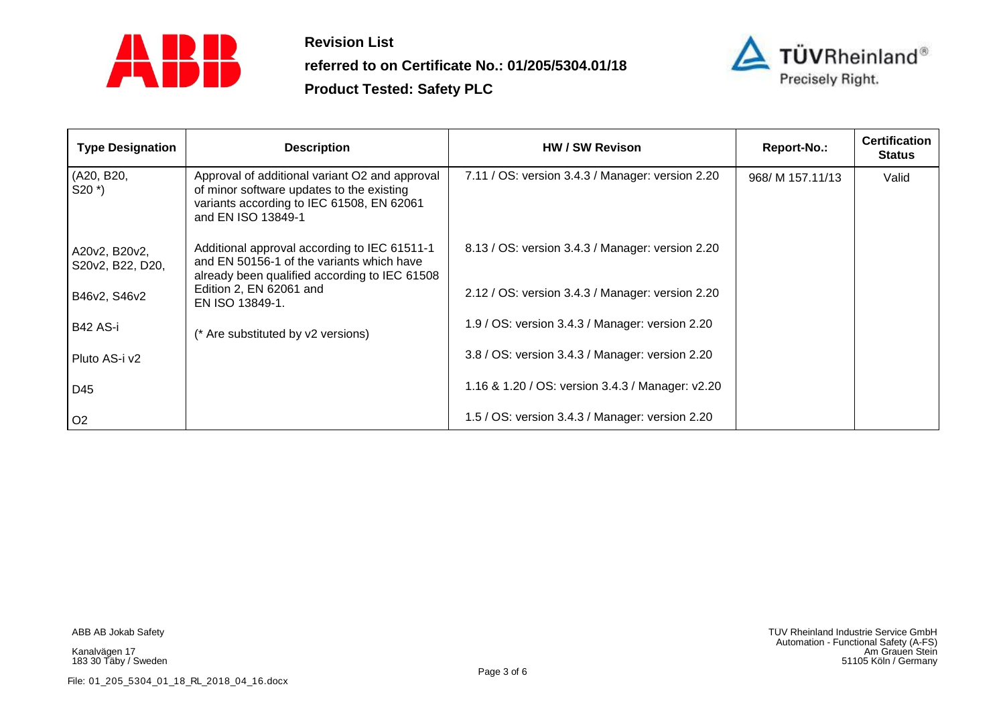

**referred to on Certificate No.: 01/205/5304.01/18**



| <b>Type Designation</b>           | <b>Description</b>                                                                                                                                             | <b>HW / SW Revison</b>                           | Report-No.:      | <b>Certification</b><br><b>Status</b> |
|-----------------------------------|----------------------------------------------------------------------------------------------------------------------------------------------------------------|--------------------------------------------------|------------------|---------------------------------------|
| (A20, B20,<br>$S20$ $*$ )         | Approval of additional variant O2 and approval<br>of minor software updates to the existing<br>variants according to IEC 61508, EN 62061<br>and EN ISO 13849-1 | 7.11 / OS: version 3.4.3 / Manager: version 2.20 | 968/ M 157.11/13 | Valid                                 |
| A20v2, B20v2,<br>S20v2, B22, D20, | Additional approval according to IEC 61511-1<br>and EN 50156-1 of the variants which have<br>already been qualified according to IEC 61508                     | 8.13 / OS: version 3.4.3 / Manager: version 2.20 |                  |                                       |
| B46v2, S46v2                      | Edition 2, EN 62061 and<br>EN ISO 13849-1.                                                                                                                     | 2.12 / OS: version 3.4.3 / Manager: version 2.20 |                  |                                       |
| B42 AS-i                          | (* Are substituted by v2 versions)                                                                                                                             | 1.9 / OS: version 3.4.3 / Manager: version 2.20  |                  |                                       |
| Pluto AS-i v2                     |                                                                                                                                                                | 3.8 / OS: version 3.4.3 / Manager: version 2.20  |                  |                                       |
| D45                               |                                                                                                                                                                | 1.16 & 1.20 / OS: version 3.4.3 / Manager: v2.20 |                  |                                       |
| O <sub>2</sub>                    |                                                                                                                                                                | 1.5 / OS: version 3.4.3 / Manager: version 2.20  |                  |                                       |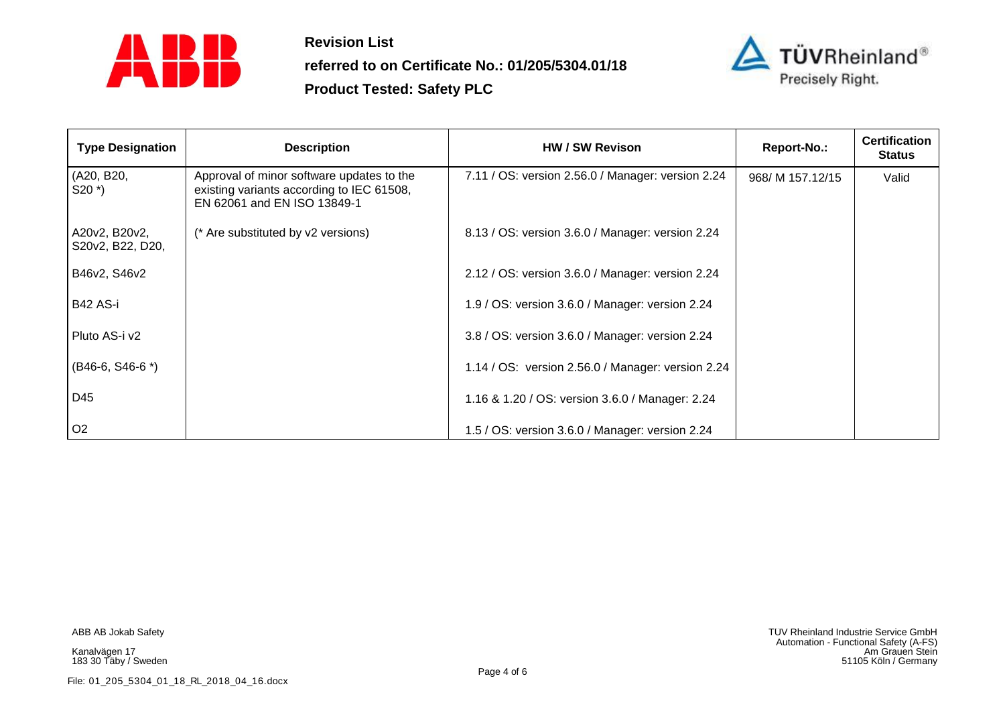

**referred to on Certificate No.: 01/205/5304.01/18**



| <b>Type Designation</b>           | <b>Description</b>                                                                                                    | HW / SW Revison                                   | Report-No.:      | <b>Certification</b><br><b>Status</b> |
|-----------------------------------|-----------------------------------------------------------------------------------------------------------------------|---------------------------------------------------|------------------|---------------------------------------|
| (A20, B20,<br>$S20^*$             | Approval of minor software updates to the<br>existing variants according to IEC 61508,<br>EN 62061 and EN ISO 13849-1 | 7.11 / OS: version 2.56.0 / Manager: version 2.24 | 968/ M 157.12/15 | Valid                                 |
| A20v2, B20v2,<br>S20v2, B22, D20, | (* Are substituted by v2 versions)                                                                                    | 8.13 / OS: version 3.6.0 / Manager: version 2.24  |                  |                                       |
| B46v2, S46v2                      |                                                                                                                       | 2.12 / OS: version 3.6.0 / Manager: version 2.24  |                  |                                       |
| B42 AS-i                          |                                                                                                                       | 1.9 / OS: version 3.6.0 / Manager: version 2.24   |                  |                                       |
| Pluto AS-i v2                     |                                                                                                                       | 3.8 / OS: version 3.6.0 / Manager: version 2.24   |                  |                                       |
| $(B46-6, S46-6^*)$                |                                                                                                                       | 1.14 / OS: version 2.56.0 / Manager: version 2.24 |                  |                                       |
| D45                               |                                                                                                                       | 1.16 & 1.20 / OS: version 3.6.0 / Manager: 2.24   |                  |                                       |
| O <sub>2</sub>                    |                                                                                                                       | 1.5 / OS: version 3.6.0 / Manager: version 2.24   |                  |                                       |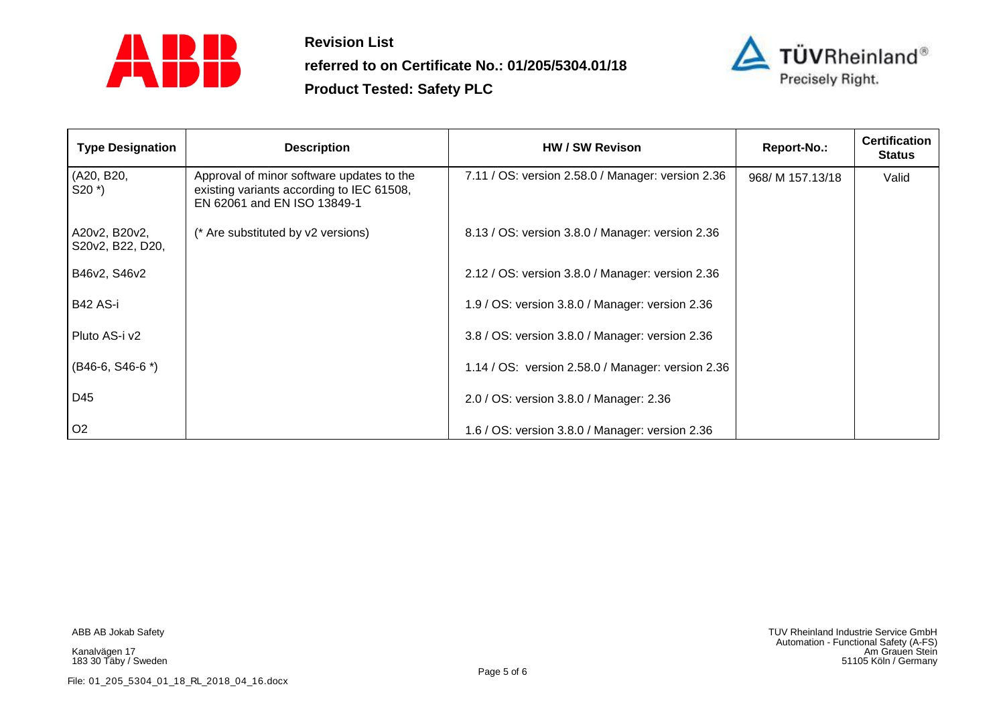

**referred to on Certificate No.: 01/205/5304.01/18**



| <b>Type Designation</b>           | <b>Description</b>                                                                                                    | HW / SW Revison                                   | Report-No.:      | <b>Certification</b><br><b>Status</b> |
|-----------------------------------|-----------------------------------------------------------------------------------------------------------------------|---------------------------------------------------|------------------|---------------------------------------|
| (A20, B20,<br>$S20^*$             | Approval of minor software updates to the<br>existing variants according to IEC 61508,<br>EN 62061 and EN ISO 13849-1 | 7.11 / OS: version 2.58.0 / Manager: version 2.36 | 968/ M 157.13/18 | Valid                                 |
| A20v2, B20v2,<br>S20v2, B22, D20, | (* Are substituted by v2 versions)                                                                                    | 8.13 / OS: version 3.8.0 / Manager: version 2.36  |                  |                                       |
| B46v2, S46v2                      |                                                                                                                       | 2.12 / OS: version 3.8.0 / Manager: version 2.36  |                  |                                       |
| B42 AS-i                          |                                                                                                                       | 1.9 / OS: version 3.8.0 / Manager: version 2.36   |                  |                                       |
| Pluto AS-i v2                     |                                                                                                                       | 3.8 / OS: version 3.8.0 / Manager: version 2.36   |                  |                                       |
| $(B46-6, S46-6^*)$                |                                                                                                                       | 1.14 / OS: version 2.58.0 / Manager: version 2.36 |                  |                                       |
| D45                               |                                                                                                                       | 2.0 / OS: version 3.8.0 / Manager: 2.36           |                  |                                       |
| O <sub>2</sub>                    |                                                                                                                       | 1.6 / OS: version 3.8.0 / Manager: version 2.36   |                  |                                       |